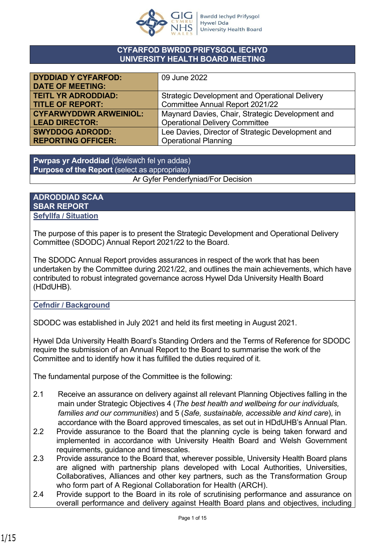

### **CYFARFOD BWRDD PRIFYSGOL IECHYD UNIVERSITY HEALTH BOARD MEETING**

| <b>DYDDIAD Y CYFARFOD:</b>    | 09 June 2022                                          |
|-------------------------------|-------------------------------------------------------|
| <b>DATE OF MEETING:</b>       |                                                       |
| <b>TEITL YR ADRODDIAD:</b>    | <b>Strategic Development and Operational Delivery</b> |
| <b>TITLE OF REPORT:</b>       | Committee Annual Report 2021/22                       |
| <b>CYFARWYDDWR ARWEINIOL:</b> | Maynard Davies, Chair, Strategic Development and      |
| <b>LEAD DIRECTOR:</b>         | <b>Operational Delivery Committee</b>                 |
| <b>SWYDDOG ADRODD:</b>        | Lee Davies, Director of Strategic Development and     |
| <b>REPORTING OFFICER:</b>     | <b>Operational Planning</b>                           |

**Pwrpas yr Adroddiad** (dewiswch fel yn addas) **Purpose of the Report** (select as appropriate) Ar Gyfer Penderfyniad/For Decision

**ADRODDIAD SCAA SBAR REPORT Sefyllfa / Situation** 

The purpose of this paper is to present the Strategic Development and Operational Delivery Committee (SDODC) Annual Report 2021/22 to the Board.

The SDODC Annual Report provides assurances in respect of the work that has been undertaken by the Committee during 2021/22, and outlines the main achievements, which have contributed to robust integrated governance across Hywel Dda University Health Board (HDdUHB).

### **Cefndir / Background**

SDODC was established in July 2021 and held its first meeting in August 2021.

Hywel Dda University Health Board's Standing Orders and the Terms of Reference for SDODC require the submission of an Annual Report to the Board to summarise the work of the Committee and to identify how it has fulfilled the duties required of it.

The fundamental purpose of the Committee is the following:

- 2.1 Receive an assurance on delivery against all relevant Planning Objectives falling in the main under Strategic Objectives 4 (*The best health and wellbeing for our individuals, families and our communities*) and 5 (*Safe, sustainable, accessible and kind care*), in accordance with the Board approved timescales, as set out in HDdUHB's Annual Plan.
- 2.2 Provide assurance to the Board that the planning cycle is being taken forward and implemented in accordance with University Health Board and Welsh Government requirements, guidance and timescales.
- 2.3 Provide assurance to the Board that, wherever possible, University Health Board plans are aligned with partnership plans developed with Local Authorities, Universities, Collaboratives, Alliances and other key partners, such as the Transformation Group who form part of A Regional Collaboration for Health (ARCH).
- 2.4 Provide support to the Board in its role of scrutinising performance and assurance on overall performance and delivery against Health Board plans and objectives, including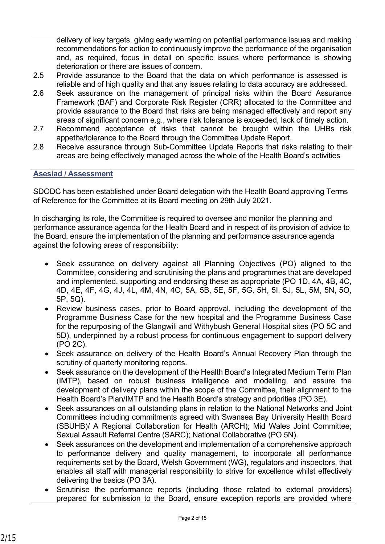delivery of key targets, giving early warning on potential performance issues and making recommendations for action to continuously improve the performance of the organisation and, as required, focus in detail on specific issues where performance is showing deterioration or there are issues of concern.

- 2.5 Provide assurance to the Board that the data on which performance is assessed is reliable and of high quality and that any issues relating to data accuracy are addressed.
- 2.6 Seek assurance on the management of principal risks within the Board Assurance Framework (BAF) and Corporate Risk Register (CRR) allocated to the Committee and provide assurance to the Board that risks are being managed effectively and report any areas of significant concern e.g., where risk tolerance is exceeded, lack of timely action.
- 2.7 Recommend acceptance of risks that cannot be brought within the UHBs risk appetite/tolerance to the Board through the Committee Update Report.
- 2.8 Receive assurance through Sub-Committee Update Reports that risks relating to their areas are being effectively managed across the whole of the Health Board's activities

### **Asesiad / Assessment**

SDODC has been established under Board delegation with the Health Board approving Terms of Reference for the Committee at its Board meeting on 29th July 2021.

In discharging its role, the Committee is required to oversee and monitor the planning and performance assurance agenda for the Health Board and in respect of its provision of advice to the Board, ensure the implementation of the planning and performance assurance agenda against the following areas of responsibility:

- Seek assurance on delivery against all Planning Objectives (PO) aligned to the Committee, considering and scrutinising the plans and programmes that are developed and implemented, supporting and endorsing these as appropriate (PO 1D, 4A, 4B, 4C, 4D, 4E, 4F, 4G, 4J, 4L, 4M, 4N, 4O, 5A, 5B, 5E, 5F, 5G, 5H, 5I, 5J, 5L, 5M, 5N, 5O, 5P, 5Q).
- Review business cases, prior to Board approval, including the development of the Programme Business Case for the new hospital and the Programme Business Case for the repurposing of the Glangwili and Withybush General Hospital sites (PO 5C and 5D), underpinned by a robust process for continuous engagement to support delivery (PO 2C).
- Seek assurance on delivery of the Health Board's Annual Recovery Plan through the scrutiny of quarterly monitoring reports.
- Seek assurance on the development of the Health Board's Integrated Medium Term Plan (IMTP), based on robust business intelligence and modelling, and assure the development of delivery plans within the scope of the Committee, their alignment to the Health Board's Plan/IMTP and the Health Board's strategy and priorities (PO 3E).
- Seek assurances on all outstanding plans in relation to the National Networks and Joint Committees including commitments agreed with Swansea Bay University Health Board (SBUHB)/ A Regional Collaboration for Health (ARCH); Mid Wales Joint Committee; Sexual Assault Referral Centre (SARC); National Collaborative (PO 5N).
- Seek assurances on the development and implementation of a comprehensive approach to performance delivery and quality management, to incorporate all performance requirements set by the Board, Welsh Government (WG), regulators and inspectors, that enables all staff with managerial responsibility to strive for excellence whilst effectively delivering the basics (PO 3A).
- Scrutinise the performance reports (including those related to external providers) prepared for submission to the Board, ensure exception reports are provided where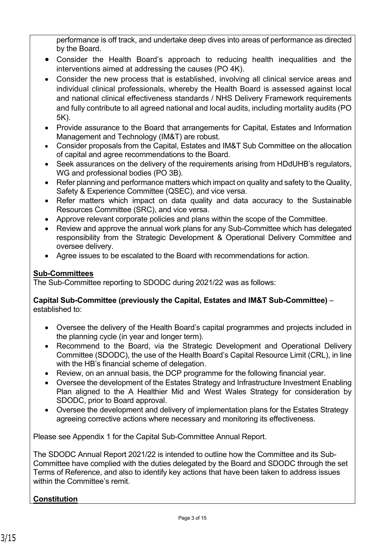performance is off track, and undertake deep dives into areas of performance as directed by the Board.

- Consider the Health Board's approach to reducing health inequalities and the interventions aimed at addressing the causes (PO 4K).
- Consider the new process that is established, involving all clinical service areas and individual clinical professionals, whereby the Health Board is assessed against local and national clinical effectiveness standards / NHS Delivery Framework requirements and fully contribute to all agreed national and local audits, including mortality audits (PO 5K).
- Provide assurance to the Board that arrangements for Capital, Estates and Information Management and Technology (IM&T) are robust.
- Consider proposals from the Capital, Estates and IM&T Sub Committee on the allocation of capital and agree recommendations to the Board.
- Seek assurances on the delivery of the requirements arising from HDdUHB's regulators, WG and professional bodies (PO 3B).
- Refer planning and performance matters which impact on quality and safety to the Quality, Safety & Experience Committee (QSEC), and vice versa.
- Refer matters which impact on data quality and data accuracy to the Sustainable Resources Committee (SRC), and vice versa.
- Approve relevant corporate policies and plans within the scope of the Committee.
- Review and approve the annual work plans for any Sub-Committee which has delegated responsibility from the Strategic Development & Operational Delivery Committee and oversee delivery.
- Agree issues to be escalated to the Board with recommendations for action.

### **Sub-Committees**

The Sub-Committee reporting to SDODC during 2021/22 was as follows:

### **Capital Sub-Committee (previously the Capital, Estates and IM&T Sub-Committee)** – established to:

- Oversee the delivery of the Health Board's capital programmes and projects included in the planning cycle (in year and longer term).
- Recommend to the Board, via the Strategic Development and Operational Delivery Committee (SDODC), the use of the Health Board's Capital Resource Limit (CRL), in line with the HB's financial scheme of delegation.
- Review, on an annual basis, the DCP programme for the following financial year.
- Oversee the development of the Estates Strategy and Infrastructure Investment Enabling Plan aligned to the A Healthier Mid and West Wales Strategy for consideration by SDODC, prior to Board approval.
- Oversee the development and delivery of implementation plans for the Estates Strategy agreeing corrective actions where necessary and monitoring its effectiveness.

Please see Appendix 1 for the Capital Sub-Committee Annual Report.

The SDODC Annual Report 2021/22 is intended to outline how the Committee and its Sub-Committee have complied with the duties delegated by the Board and SDODC through the set Terms of Reference, and also to identify key actions that have been taken to address issues within the Committee's remit.

# **Constitution**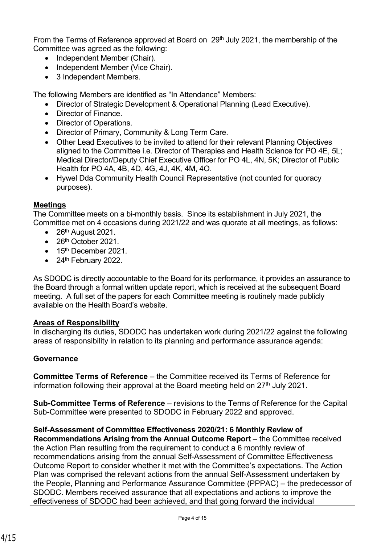From the Terms of Reference approved at Board on 29<sup>th</sup> July 2021, the membership of the Committee was agreed as the following:

- Independent Member (Chair).
- Independent Member (Vice Chair).
- 3 Independent Members.

The following Members are identified as "In Attendance" Members:

- Director of Strategic Development & Operational Planning (Lead Executive).
- Director of Finance.
- Director of Operations.
- Director of Primary, Community & Long Term Care.
- Other Lead Executives to be invited to attend for their relevant Planning Objectives aligned to the Committee i.e. Director of Therapies and Health Science for PO 4E, 5L; Medical Director/Deputy Chief Executive Officer for PO 4L, 4N, 5K; Director of Public Health for PO 4A, 4B, 4D, 4G, 4J, 4K, 4M, 4O.
- Hywel Dda Community Health Council Representative (not counted for quoracy purposes).

### **Meetings**

The Committee meets on a bi-monthly basis. Since its establishment in July 2021, the Committee met on 4 occasions during 2021/22 and was quorate at all meetings, as follows:

- 26<sup>th</sup> August 2021.
- 26<sup>th</sup> October 2021
- $\bullet$  15<sup>th</sup> December 2021.
- $\bullet$  24<sup>th</sup> February 2022.

As SDODC is directly accountable to the Board for its performance, it provides an assurance to the Board through a formal written update report, which is received at the subsequent Board meeting. A full set of the papers for each Committee meeting is routinely made publicly available on the Health Board's website.

### **Areas of Responsibility**

In discharging its duties, SDODC has undertaken work during 2021/22 against the following areas of responsibility in relation to its planning and performance assurance agenda:

### **Governance**

**Committee Terms of Reference** – the Committee received its Terms of Reference for information following their approval at the Board meeting held on  $27<sup>th</sup>$  July 2021.

**Sub-Committee Terms of Reference** – revisions to the Terms of Reference for the Capital Sub-Committee were presented to SDODC in February 2022 and approved.

### **Self-Assessment of Committee Effectiveness 2020/21: 6 Monthly Review of**

**Recommendations Arising from the Annual Outcome Report** – the Committee received the Action Plan resulting from the requirement to conduct a 6 monthly review of recommendations arising from the annual Self-Assessment of Committee Effectiveness Outcome Report to consider whether it met with the Committee's expectations. The Action Plan was comprised the relevant actions from the annual Self-Assessment undertaken by the People, Planning and Performance Assurance Committee (PPPAC) – the predecessor of SDODC. Members received assurance that all expectations and actions to improve the effectiveness of SDODC had been achieved, and that going forward the individual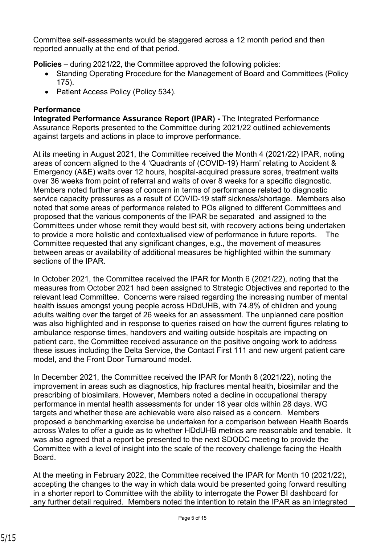Committee self-assessments would be staggered across a 12 month period and then reported annually at the end of that period.

**Policies** – during 2021/22, the Committee approved the following policies:

- Standing Operating Procedure for the Management of Board and Committees (Policy 175).
- Patient Access Policy (Policy 534).

# **Performance**

**Integrated Performance Assurance Report (IPAR) - The Integrated Performance** Assurance Reports presented to the Committee during 2021/22 outlined achievements against targets and actions in place to improve performance.

At its meeting in August 2021, the Committee received the Month 4 (2021/22) IPAR, noting areas of concern aligned to the 4 'Quadrants of (COVID-19) Harm' relating to Accident & Emergency (A&E) waits over 12 hours, hospital-acquired pressure sores, treatment waits over 36 weeks from point of referral and waits of over 8 weeks for a specific diagnostic. Members noted further areas of concern in terms of performance related to diagnostic service capacity pressures as a result of COVID-19 staff sickness/shortage. Members also noted that some areas of performance related to POs aligned to different Committees and proposed that the various components of the IPAR be separated and assigned to the Committees under whose remit they would best sit, with recovery actions being undertaken to provide a more holistic and contextualised view of performance in future reports. The Committee requested that any significant changes, e.g., the movement of measures between areas or availability of additional measures be highlighted within the summary sections of the IPAR

In October 2021, the Committee received the IPAR for Month 6 (2021/22), noting that the measures from October 2021 had been assigned to Strategic Objectives and reported to the relevant lead Committee. Concerns were raised regarding the increasing number of mental health issues amongst young people across HDdUHB, with 74.8% of children and young adults waiting over the target of 26 weeks for an assessment. The unplanned care position was also highlighted and in response to queries raised on how the current figures relating to ambulance response times, handovers and waiting outside hospitals are impacting on patient care, the Committee received assurance on the positive ongoing work to address these issues including the Delta Service, the Contact First 111 and new urgent patient care model, and the Front Door Turnaround model.

In December 2021, the Committee received the IPAR for Month 8 (2021/22), noting the improvement in areas such as diagnostics, hip fractures mental health, biosimilar and the prescribing of biosimilars. However, Members noted a decline in occupational therapy performance in mental health assessments for under 18 year olds within 28 days. WG targets and whether these are achievable were also raised as a concern. Members proposed a benchmarking exercise be undertaken for a comparison between Health Boards across Wales to offer a guide as to whether HDdUHB metrics are reasonable and tenable. It was also agreed that a report be presented to the next SDODC meeting to provide the Committee with a level of insight into the scale of the recovery challenge facing the Health Board.

At the meeting in February 2022, the Committee received the IPAR for Month 10 (2021/22), accepting the changes to the way in which data would be presented going forward resulting in a shorter report to Committee with the ability to interrogate the Power BI dashboard for any further detail required. Members noted the intention to retain the IPAR as an integrated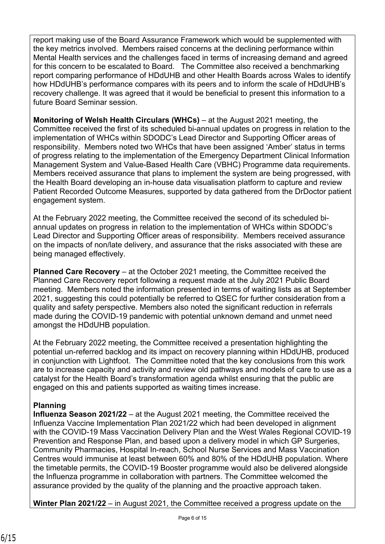report making use of the Board Assurance Framework which would be supplemented with the key metrics involved. Members raised concerns at the declining performance within Mental Health services and the challenges faced in terms of increasing demand and agreed for this concern to be escalated to Board. The Committee also received a benchmarking report comparing performance of HDdUHB and other Health Boards across Wales to identify how HDdUHB's performance compares with its peers and to inform the scale of HDdUHB's recovery challenge. It was agreed that it would be beneficial to present this information to a future Board Seminar session.

**Monitoring of Welsh Health Circulars (WHCs)** – at the August 2021 meeting, the Committee received the first of its scheduled bi-annual updates on progress in relation to the implementation of WHCs within SDODC's Lead Director and Supporting Officer areas of responsibility. Members noted two WHCs that have been assigned 'Amber' status in terms of progress relating to the implementation of the Emergency Department Clinical Information Management System and Value-Based Health Care (VBHC) Programme data requirements. Members received assurance that plans to implement the system are being progressed, with the Health Board developing an in-house data visualisation platform to capture and review Patient Recorded Outcome Measures, supported by data gathered from the DrDoctor patient engagement system.

At the February 2022 meeting, the Committee received the second of its scheduled biannual updates on progress in relation to the implementation of WHCs within SDODC's Lead Director and Supporting Officer areas of responsibility. Members received assurance on the impacts of non/late delivery, and assurance that the risks associated with these are being managed effectively.

**Planned Care Recovery** – at the October 2021 meeting, the Committee received the Planned Care Recovery report following a request made at the July 2021 Public Board meeting. Members noted the information presented in terms of waiting lists as at September 2021, suggesting this could potentially be referred to QSEC for further consideration from a quality and safety perspective. Members also noted the significant reduction in referrals made during the COVID-19 pandemic with potential unknown demand and unmet need amongst the HDdUHB population.

At the February 2022 meeting, the Committee received a presentation highlighting the potential un-referred backlog and its impact on recovery planning within HDdUHB, produced in conjunction with Lightfoot. The Committee noted that the key conclusions from this work are to increase capacity and activity and review old pathways and models of care to use as a catalyst for the Health Board's transformation agenda whilst ensuring that the public are engaged on this and patients supported as waiting times increase.

# **Planning**

**Influenza Season 2021/22** – at the August 2021 meeting, the Committee received the Influenza Vaccine Implementation Plan 2021/22 which had been developed in alignment with the COVID-19 Mass Vaccination Delivery Plan and the West Wales Regional COVID-19 Prevention and Response Plan, and based upon a delivery model in which GP Surgeries, Community Pharmacies, Hospital In-reach, School Nurse Services and Mass Vaccination Centres would immunise at least between 60% and 80% of the HDdUHB population. Where the timetable permits, the COVID-19 Booster programme would also be delivered alongside the Influenza programme in collaboration with partners. The Committee welcomed the assurance provided by the quality of the planning and the proactive approach taken.

**Winter Plan 2021/22** – in August 2021, the Committee received a progress update on the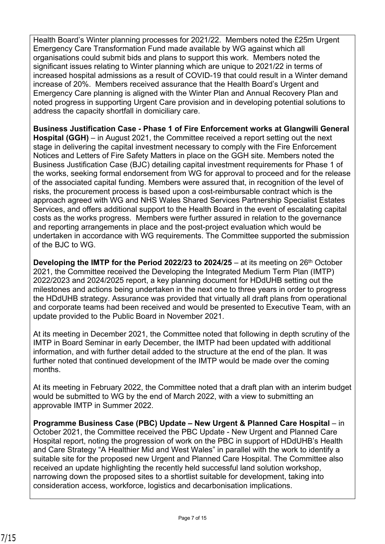Health Board's Winter planning processes for 2021/22. Members noted the £25m Urgent Emergency Care Transformation Fund made available by WG against which all organisations could submit bids and plans to support this work. Members noted the significant issues relating to Winter planning which are unique to 2021/22 in terms of increased hospital admissions as a result of COVID-19 that could result in a Winter demand increase of 20%. Members received assurance that the Health Board's Urgent and Emergency Care planning is aligned with the Winter Plan and Annual Recovery Plan and noted progress in supporting Urgent Care provision and in developing potential solutions to address the capacity shortfall in domiciliary care.

**Business Justification Case - Phase 1 of Fire Enforcement works at Glangwili General Hospital (GGH)** – in August 2021, the Committee received a report setting out the next stage in delivering the capital investment necessary to comply with the Fire Enforcement Notices and Letters of Fire Safety Matters in place on the GGH site. Members noted the Business Justification Case (BJC) detailing capital investment requirements for Phase 1 of the works, seeking formal endorsement from WG for approval to proceed and for the release of the associated capital funding. Members were assured that, in recognition of the level of risks, the procurement process is based upon a cost-reimbursable contract which is the approach agreed with WG and NHS Wales Shared Services Partnership Specialist Estates Services, and offers additional support to the Health Board in the event of escalating capital costs as the works progress. Members were further assured in relation to the governance and reporting arrangements in place and the post-project evaluation which would be undertaken in accordance with WG requirements. The Committee supported the submission of the BJC to WG.

**Developing the IMTP for the Period 2022/23 to 2024/25** – at its meeting on 26<sup>th</sup> October 2021, the Committee received the Developing the Integrated Medium Term Plan (IMTP) 2022/2023 and 2024/2025 report, a key planning document for HDdUHB setting out the milestones and actions being undertaken in the next one to three years in order to progress the HDdUHB strategy. Assurance was provided that virtually all draft plans from operational and corporate teams had been received and would be presented to Executive Team, with an update provided to the Public Board in November 2021.

At its meeting in December 2021, the Committee noted that following in depth scrutiny of the IMTP in Board Seminar in early December, the IMTP had been updated with additional information, and with further detail added to the structure at the end of the plan. It was further noted that continued development of the IMTP would be made over the coming months.

At its meeting in February 2022, the Committee noted that a draft plan with an interim budget would be submitted to WG by the end of March 2022, with a view to submitting an approvable IMTP in Summer 2022.

**Programme Business Case (PBC) Update – New Urgent & Planned Care Hospital** – in October 2021, the Committee received the PBC Update - New Urgent and Planned Care Hospital report, noting the progression of work on the PBC in support of HDdUHB's Health and Care Strategy "A Healthier Mid and West Wales" in parallel with the work to identify a suitable site for the proposed new Urgent and Planned Care Hospital. The Committee also received an update highlighting the recently held successful land solution workshop, narrowing down the proposed sites to a shortlist suitable for development, taking into consideration access, workforce, logistics and decarbonisation implications.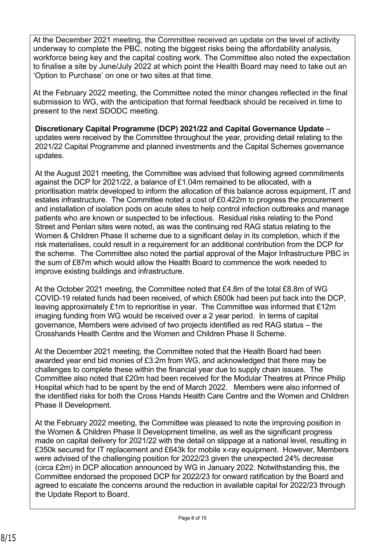At the December 2021 meeting, the Committee received an update on the level of activity underway to complete the PBC, noting the biggest risks being the affordability analysis, workforce being key and the capital costing work. The Committee also noted the expectation to finalise a site by June/July 2022 at which point the Health Board may need to take out an 'Option to Purchase' on one or two sites at that time.

At the February 2022 meeting, the Committee noted the minor changes reflected in the final submission to WG, with the anticipation that formal feedback should be received in time to present to the next SDODC meeting.

**Discretionary Capital Programme (DCP) 2021/22 and Capital Governance Update** – updates were received by the Committee throughout the year, providing detail relating to the 2021/22 Capital Programme and planned investments and the Capital Schemes governance updates.

At the August 2021 meeting, the Committee was advised that following agreed commitments against the DCP for 2021/22, a balance of £1.04m remained to be allocated, with a prioritisation matrix developed to inform the allocation of this balance across equipment, IT and estates infrastructure. The Committee noted a cost of £0.422m to progress the procurement and installation of isolation pods on acute sites to help control infection outbreaks and manage patients who are known or suspected to be infectious. Residual risks relating to the Pond Street and Penlan sites were noted, as was the continuing red RAG status relating to the Women & Children Phase II scheme due to a significant delay in its completion, which if the risk materialises, could result in a requirement for an additional contribution from the DCP for the scheme. The Committee also noted the partial approval of the Major Infrastructure PBC in the sum of £87m which would allow the Health Board to commence the work needed to improve existing buildings and infrastructure.

At the October 2021 meeting, the Committee noted that £4.8m of the total £8.8m of WG COVID-19 related funds had been received, of which £600k had been put back into the DCP, leaving approximately £1m to reprioritise in year. The Committee was informed that £12m imaging funding from WG would be received over a 2 year period. In terms of capital governance, Members were advised of two projects identified as red RAG status – the Crosshands Health Centre and the Women and Children Phase II Scheme.

At the December 2021 meeting, the Committee noted that the Health Board had been awarded year end bid monies of £3.2m from WG, and acknowledged that there may be challenges to complete these within the financial year due to supply chain issues. The Committee also noted that £20m had been received for the Modular Theatres at Prince Philip Hospital which had to be spent by the end of March 2022. Members were also informed of the identified risks for both the Cross Hands Health Care Centre and the Women and Children Phase II Development.

At the February 2022 meeting, the Committee was pleased to note the improving position in the Women & Children Phase II Development timeline, as well as the significant progress made on capital delivery for 2021/22 with the detail on slippage at a national level, resulting in £350k secured for IT replacement and £643k for mobile x-ray equipment. However, Members were advised of the challenging position for 2022/23 given the unexpected 24% decrease (circa £2m) in DCP allocation announced by WG in January 2022. Notwithstanding this, the Committee endorsed the proposed DCP for 2022/23 for onward ratification by the Board and agreed to escalate the concerns around the reduction in available capital for 2022/23 through the Update Report to Board.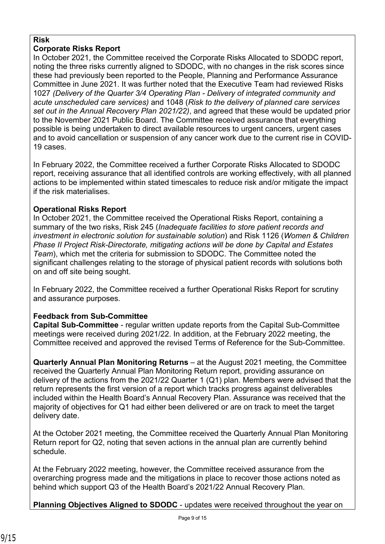## **Risk**

## **Corporate Risks Report**

In October 2021, the Committee received the Corporate Risks Allocated to SDODC report, noting the three risks currently aligned to SDODC, with no changes in the risk scores since these had previously been reported to the People, Planning and Performance Assurance Committee in June 2021. It was further noted that the Executive Team had reviewed Risks 1027 *(Delivery of the Quarter 3/4 Operating Plan - Delivery of integrated community and acute unscheduled care services)* and 1048 (*Risk to the delivery of planned care services set out in the Annual Recovery Plan 2021/22)*, and agreed that these would be updated prior to the November 2021 Public Board. The Committee received assurance that everything possible is being undertaken to direct available resources to urgent cancers, urgent cases and to avoid cancellation or suspension of any cancer work due to the current rise in COVID-19 cases.

In February 2022, the Committee received a further Corporate Risks Allocated to SDODC report, receiving assurance that all identified controls are working effectively, with all planned actions to be implemented within stated timescales to reduce risk and/or mitigate the impact if the risk materialises.

## **Operational Risks Report**

In October 2021, the Committee received the Operational Risks Report, containing a summary of the two risks, Risk 245 (*Inadequate facilities to store patient records and investment in electronic solution for sustainable solution*) and Risk 1126 (*Women & Children Phase II Project Risk-Directorate, mitigating actions will be done by Capital and Estates Team*), which met the criteria for submission to SDODC. The Committee noted the significant challenges relating to the storage of physical patient records with solutions both on and off site being sought.

In February 2022, the Committee received a further Operational Risks Report for scrutiny and assurance purposes.

# **Feedback from Sub-Committee**

**Capital Sub-Committee** - regular written update reports from the Capital Sub-Committee meetings were received during 2021/22. In addition, at the February 2022 meeting, the Committee received and approved the revised Terms of Reference for the Sub-Committee.

**Quarterly Annual Plan Monitoring Returns** – at the August 2021 meeting, the Committee received the Quarterly Annual Plan Monitoring Return report, providing assurance on delivery of the actions from the 2021/22 Quarter 1 (Q1) plan. Members were advised that the return represents the first version of a report which tracks progress against deliverables included within the Health Board's Annual Recovery Plan. Assurance was received that the majority of objectives for Q1 had either been delivered or are on track to meet the target delivery date.

At the October 2021 meeting, the Committee received the Quarterly Annual Plan Monitoring Return report for Q2, noting that seven actions in the annual plan are currently behind schedule.

At the February 2022 meeting, however, the Committee received assurance from the overarching progress made and the mitigations in place to recover those actions noted as behind which support Q3 of the Health Board's 2021/22 Annual Recovery Plan.

**Planning Objectives Aligned to SDODC** - updates were received throughout the year on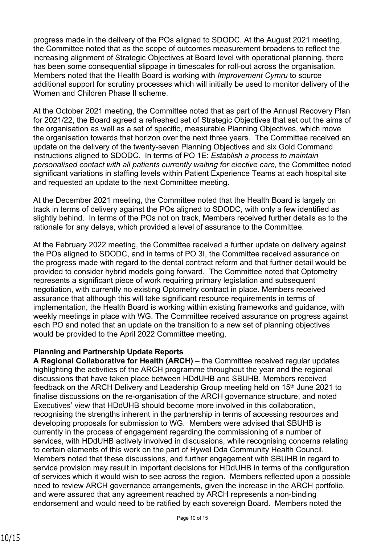progress made in the delivery of the POs aligned to SDODC. At the August 2021 meeting, the Committee noted that as the scope of outcomes measurement broadens to reflect the increasing alignment of Strategic Objectives at Board level with operational planning, there has been some consequential slippage in timescales for roll-out across the organisation. Members noted that the Health Board is working with *Improvement Cymru* to source additional support for scrutiny processes which will initially be used to monitor delivery of the Women and Children Phase II scheme.

At the October 2021 meeting, the Committee noted that as part of the Annual Recovery Plan for 2021/22, the Board agreed a refreshed set of Strategic Objectives that set out the aims of the organisation as well as a set of specific, measurable Planning Objectives, which move the organisation towards that horizon over the next three years. The Committee received an update on the delivery of the twenty-seven Planning Objectives and six Gold Command instructions aligned to SDODC. In terms of PO 1E: *Establish a process to maintain personalised contact with all patients currently waiting for elective care,* the Committee noted significant variations in staffing levels within Patient Experience Teams at each hospital site and requested an update to the next Committee meeting.

At the December 2021 meeting, the Committee noted that the Health Board is largely on track in terms of delivery against the POs aligned to SDODC, with only a few identified as slightly behind. In terms of the POs not on track, Members received further details as to the rationale for any delays, which provided a level of assurance to the Committee.

At the February 2022 meeting, the Committee received a further update on delivery against the POs aligned to SDODC, and in terms of PO 3I, the Committee received assurance on the progress made with regard to the dental contract reform and that further detail would be provided to consider hybrid models going forward. The Committee noted that Optometry represents a significant piece of work requiring primary legislation and subsequent negotiation, with currently no existing Optometry contract in place. Members received assurance that although this will take significant resource requirements in terms of implementation, the Health Board is working within existing frameworks and guidance, with weekly meetings in place with WG. The Committee received assurance on progress against each PO and noted that an update on the transition to a new set of planning objectives would be provided to the April 2022 Committee meeting.

### **Planning and Partnership Update Reports**

**A Regional Collaborative for Health (ARCH)** – the Committee received regular updates highlighting the activities of the ARCH programme throughout the year and the regional discussions that have taken place between HDdUHB and SBUHB. Members received feedback on the ARCH Delivery and Leadership Group meeting held on 15<sup>th</sup> June 2021 to finalise discussions on the re-organisation of the ARCH governance structure, and noted Executives' view that HDdUHB should become more involved in this collaboration, recognising the strengths inherent in the partnership in terms of accessing resources and developing proposals for submission to WG. Members were advised that SBUHB is currently in the process of engagement regarding the commissioning of a number of services, with HDdUHB actively involved in discussions, while recognising concerns relating to certain elements of this work on the part of Hywel Dda Community Health Council. Members noted that these discussions, and further engagement with SBUHB in regard to service provision may result in important decisions for HDdUHB in terms of the configuration of services which it would wish to see across the region. Members reflected upon a possible need to review ARCH governance arrangements, given the increase in the ARCH portfolio, and were assured that any agreement reached by ARCH represents a non-binding endorsement and would need to be ratified by each sovereign Board. Members noted the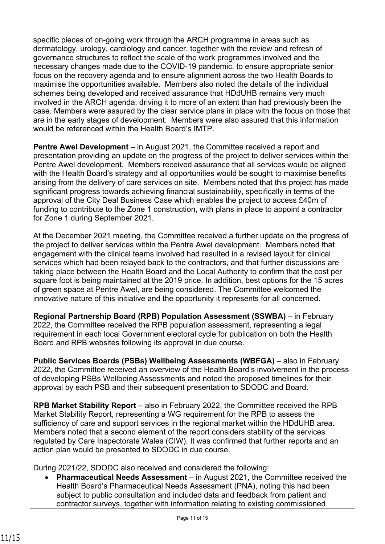specific pieces of on-going work through the ARCH programme in areas such as dermatology, urology, cardiology and cancer, together with the review and refresh of governance structures to reflect the scale of the work programmes involved and the necessary changes made due to the COVID-19 pandemic, to ensure appropriate senior focus on the recovery agenda and to ensure alignment across the two Health Boards to maximise the opportunities available. Members also noted the details of the individual schemes being developed and received assurance that HDdUHB remains very much involved in the ARCH agenda, driving it to more of an extent than had previously been the case. Members were assured by the clear service plans in place with the focus on those that are in the early stages of development. Members were also assured that this information would be referenced within the Health Board's IMTP.

**Pentre Awel Development** – in August 2021, the Committee received a report and presentation providing an update on the progress of the project to deliver services within the Pentre Awel development. Members received assurance that all services would be aligned with the Health Board's strategy and all opportunities would be sought to maximise benefits arising from the delivery of care services on site. Members noted that this project has made significant progress towards achieving financial sustainability, specifically in terms of the approval of the City Deal Business Case which enables the project to access £40m of funding to contribute to the Zone 1 construction, with plans in place to appoint a contractor for Zone 1 during September 2021.

At the December 2021 meeting, the Committee received a further update on the progress of the project to deliver services within the Pentre Awel development. Members noted that engagement with the clinical teams involved had resulted in a revised layout for clinical services which had been relayed back to the contractors, and that further discussions are taking place between the Health Board and the Local Authority to confirm that the cost per square foot is being maintained at the 2019 price. In addition, best options for the 15 acres of green space at Pentre Awel, are being considered. The Committee welcomed the innovative nature of this initiative and the opportunity it represents for all concerned.

**Regional Partnership Board (RPB) Population Assessment (SSWBA)** – in February 2022, the Committee received the RPB population assessment, representing a legal requirement in each local Government electoral cycle for publication on both the Health Board and RPB websites following its approval in due course.

**Public Services Boards (PSBs) Wellbeing Assessments (WBFGA)** – also in February 2022, the Committee received an overview of the Health Board's involvement in the process of developing PSBs Wellbeing Assessments and noted the proposed timelines for their approval by each PSB and their subsequent presentation to SDODC and Board.

**RPB Market Stability Report** – also in February 2022, the Committee received the RPB Market Stability Report, representing a WG requirement for the RPB to assess the sufficiency of care and support services in the regional market within the HDdUHB area. Members noted that a second element of the report considers stability of the services regulated by Care Inspectorate Wales (CIW). It was confirmed that further reports and an action plan would be presented to SDODC in due course.

During 2021/22, SDODC also received and considered the following:

• **Pharmaceutical Needs Assessment** – in August 2021, the Committee received the Health Board's Pharmaceutical Needs Assessment (PNA), noting this had been subject to public consultation and included data and feedback from patient and contractor surveys, together with information relating to existing commissioned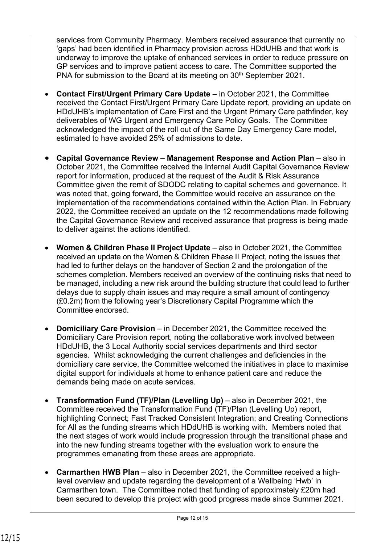services from Community Pharmacy. Members received assurance that currently no 'gaps' had been identified in Pharmacy provision across HDdUHB and that work is underway to improve the uptake of enhanced services in order to reduce pressure on GP services and to improve patient access to care. The Committee supported the PNA for submission to the Board at its meeting on 30<sup>th</sup> September 2021.

- **Contact First/Urgent Primary Care Update**  in October 2021, the Committee received the Contact First/Urgent Primary Care Update report, providing an update on HDdUHB's implementation of Care First and the Urgent Primary Care pathfinder, key deliverables of WG Urgent and Emergency Care Policy Goals. The Committee acknowledged the impact of the roll out of the Same Day Emergency Care model, estimated to have avoided 25% of admissions to date.
- **Capital Governance Review Management Response and Action Plan** also in October 2021, the Committee received the Internal Audit Capital Governance Review report for information, produced at the request of the Audit & Risk Assurance Committee given the remit of SDODC relating to capital schemes and governance. It was noted that, going forward, the Committee would receive an assurance on the implementation of the recommendations contained within the Action Plan. In February 2022, the Committee received an update on the 12 recommendations made following the Capital Governance Review and received assurance that progress is being made to deliver against the actions identified.
- **Women & Children Phase II Project Update**  also in October 2021, the Committee received an update on the Women & Children Phase II Project, noting the issues that had led to further delays on the handover of Section 2 and the prolongation of the schemes completion. Members received an overview of the continuing risks that need to be managed, including a new risk around the building structure that could lead to further delays due to supply chain issues and may require a small amount of contingency (£0.2m) from the following year's Discretionary Capital Programme which the Committee endorsed.
- **Domiciliary Care Provision**  in December 2021, the Committee received the Domiciliary Care Provision report, noting the collaborative work involved between HDdUHB, the 3 Local Authority social services departments and third sector agencies. Whilst acknowledging the current challenges and deficiencies in the domiciliary care service, the Committee welcomed the initiatives in place to maximise digital support for individuals at home to enhance patient care and reduce the demands being made on acute services.
- **Transformation Fund (TF)/Plan (Levelling Up)** also in December 2021, the Committee received the Transformation Fund (TF)/Plan (Levelling Up) report, highlighting Connect; Fast Tracked Consistent Integration; and Creating Connections for All as the funding streams which HDdUHB is working with. Members noted that the next stages of work would include progression through the transitional phase and into the new funding streams together with the evaluation work to ensure the programmes emanating from these areas are appropriate.
- **Carmarthen HWB Plan**  also in December 2021, the Committee received a highlevel overview and update regarding the development of a Wellbeing 'Hwb' in Carmarthen town. The Committee noted that funding of approximately £20m had been secured to develop this project with good progress made since Summer 2021.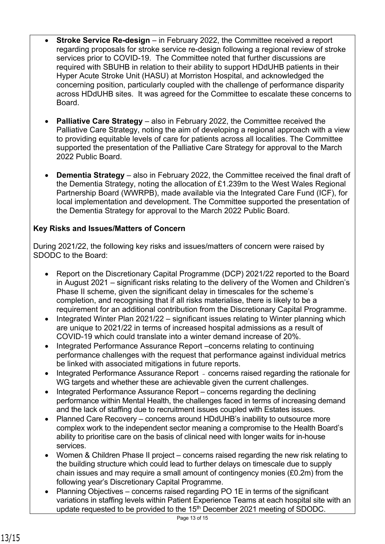- **Stroke Service Re-design** in February 2022, the Committee received a report regarding proposals for stroke service re-design following a regional review of stroke services prior to COVID-19. The Committee noted that further discussions are required with SBUHB in relation to their ability to support HDdUHB patients in their Hyper Acute Stroke Unit (HASU) at Morriston Hospital, and acknowledged the concerning position, particularly coupled with the challenge of performance disparity across HDdUHB sites. It was agreed for the Committee to escalate these concerns to Board.
- **Palliative Care Strategy** also in February 2022, the Committee received the Palliative Care Strategy, noting the aim of developing a regional approach with a view to providing equitable levels of care for patients across all localities. The Committee supported the presentation of the Palliative Care Strategy for approval to the March 2022 Public Board.
- **Dementia Strategy** also in February 2022, the Committee received the final draft of the Dementia Strategy, noting the allocation of £1.239m to the West Wales Regional Partnership Board (WWRPB), made available via the Integrated Care Fund (ICF), for local implementation and development. The Committee supported the presentation of the Dementia Strategy for approval to the March 2022 Public Board.

## **Key Risks and Issues/Matters of Concern**

During 2021/22, the following key risks and issues/matters of concern were raised by SDODC to the Board:

- Report on the Discretionary Capital Programme (DCP) 2021/22 reported to the Board in August 2021 – significant risks relating to the delivery of the Women and Children's Phase II scheme, given the significant delay in timescales for the scheme's completion, and recognising that if all risks materialise, there is likely to be a requirement for an additional contribution from the Discretionary Capital Programme.
- Integrated Winter Plan 2021/22 significant issues relating to Winter planning which are unique to 2021/22 in terms of increased hospital admissions as a result of COVID-19 which could translate into a winter demand increase of 20%.
- Integrated Performance Assurance Report –concerns relating to continuing performance challenges with the request that performance against individual metrics be linked with associated mitigations in future reports.
- Integrated Performance Assurance Report concerns raised regarding the rationale for WG targets and whether these are achievable given the current challenges.
- Integrated Performance Assurance Report concerns regarding the declining performance within Mental Health, the challenges faced in terms of increasing demand and the lack of staffing due to recruitment issues coupled with Estates issues.
- Planned Care Recovery concerns around HDdUHB's inability to outsource more complex work to the independent sector meaning a compromise to the Health Board's ability to prioritise care on the basis of clinical need with longer waits for in-house services.
- Women & Children Phase II project concerns raised regarding the new risk relating to the building structure which could lead to further delays on timescale due to supply chain issues and may require a small amount of contingency monies (£0.2m) from the following year's Discretionary Capital Programme.
- Planning Objectives concerns raised regarding PO 1E in terms of the significant variations in staffing levels within Patient Experience Teams at each hospital site with an update requested to be provided to the 15<sup>th</sup> December 2021 meeting of SDODC.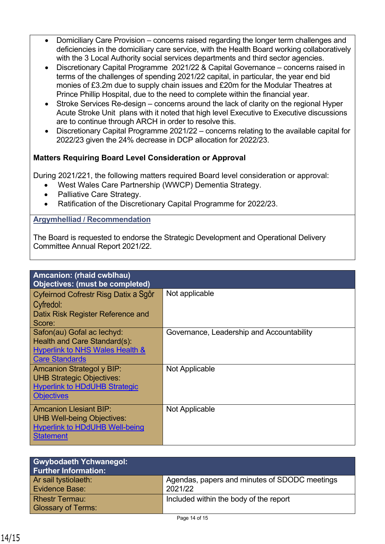- Domiciliary Care Provision concerns raised regarding the longer term challenges and deficiencies in the domiciliary care service, with the Health Board working collaboratively with the 3 Local Authority social services departments and third sector agencies.
- Discretionary Capital Programme 2021/22 & Capital Governance concerns raised in terms of the challenges of spending 2021/22 capital, in particular, the year end bid monies of £3.2m due to supply chain issues and £20m for the Modular Theatres at Prince Phillip Hospital, due to the need to complete within the financial year.
- Stroke Services Re-design concerns around the lack of clarity on the regional Hyper Acute Stroke Unit plans with it noted that high level Executive to Executive discussions are to continue through ARCH in order to resolve this.
- Discretionary Capital Programme 2021/22 concerns relating to the available capital for 2022/23 given the 24% decrease in DCP allocation for 2022/23.

# **Matters Requiring Board Level Consideration or Approval**

During 2021/221, the following matters required Board level consideration or approval:

- West Wales Care Partnership (WWCP) Dementia Strategy.
- Palliative Care Strategy.
- Ratification of the Discretionary Capital Programme for 2022/23.

### **Argymhelliad / Recommendation**

The Board is requested to endorse the Strategic Development and Operational Delivery Committee Annual Report 2021/22.

| Amcanion: (rhaid cwblhau)                  |                                           |  |
|--------------------------------------------|-------------------------------------------|--|
| <b>Objectives: (must be completed)</b>     |                                           |  |
| Cyfeirnod Cofrestr Risg Datix a Sgôr       | Not applicable                            |  |
| Cyfredol:                                  |                                           |  |
|                                            |                                           |  |
| Datix Risk Register Reference and          |                                           |  |
| Score:                                     |                                           |  |
| Safon(au) Gofal ac lechyd:                 | Governance, Leadership and Accountability |  |
| Health and Care Standard(s):               |                                           |  |
| <b>Hyperlink to NHS Wales Health &amp;</b> |                                           |  |
| <b>Care Standards</b>                      |                                           |  |
| <b>Amcanion Strategol y BIP:</b>           | <b>Not Applicable</b>                     |  |
| <b>UHB Strategic Objectives:</b>           |                                           |  |
| <b>Hyperlink to HDdUHB Strategic</b>       |                                           |  |
| <b>Objectives</b>                          |                                           |  |
|                                            |                                           |  |
| <b>Amcanion Llesiant BIP:</b>              | Not Applicable                            |  |
| <b>UHB Well-being Objectives:</b>          |                                           |  |
| <b>Hyperlink to HDdUHB Well-being</b>      |                                           |  |
| <b>Statement</b>                           |                                           |  |
|                                            |                                           |  |

| <b>Gwybodaeth Ychwanegol:</b><br><b>Further Information:</b> |                                                          |
|--------------------------------------------------------------|----------------------------------------------------------|
| Ar sail tystiolaeth:<br>Evidence Base:                       | Agendas, papers and minutes of SDODC meetings<br>2021/22 |
| <b>Rhestr Termau:</b><br><b>Glossary of Terms:</b>           | Included within the body of the report                   |